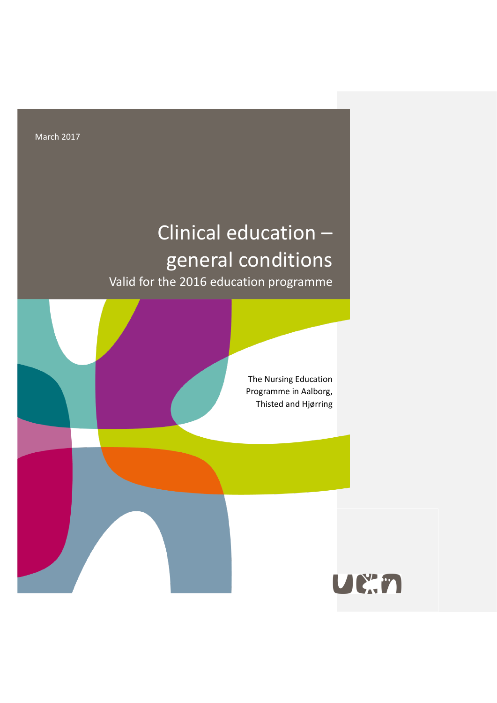March 2017

# Clinical education – general conditions Valid for the 2016 education programme

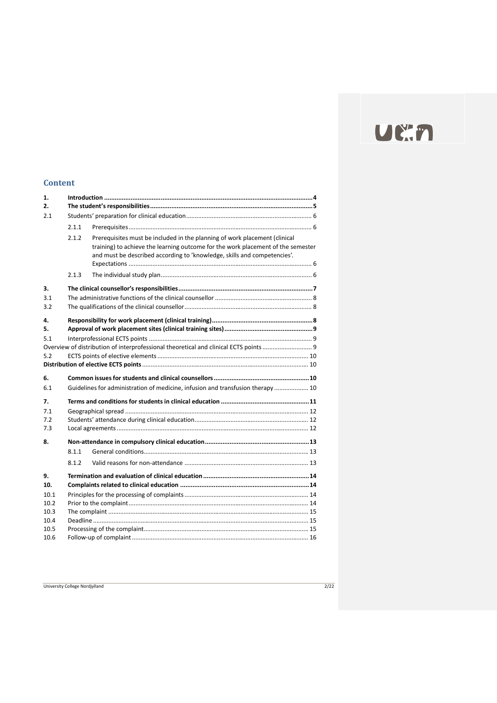# UEAN

## **Content**

| 1.<br>2. |       |                                                                                                                                                                                                                                            |  |  |
|----------|-------|--------------------------------------------------------------------------------------------------------------------------------------------------------------------------------------------------------------------------------------------|--|--|
| 2.1      |       |                                                                                                                                                                                                                                            |  |  |
|          | 2.1.1 |                                                                                                                                                                                                                                            |  |  |
|          |       |                                                                                                                                                                                                                                            |  |  |
|          | 2.1.2 | Prerequisites must be included in the planning of work placement (clinical<br>training) to achieve the learning outcome for the work placement of the semester<br>and must be described according to 'knowledge, skills and competencies'. |  |  |
|          | 2.1.3 |                                                                                                                                                                                                                                            |  |  |
| 3.       |       |                                                                                                                                                                                                                                            |  |  |
| 3.1      |       |                                                                                                                                                                                                                                            |  |  |
| 3.2      |       |                                                                                                                                                                                                                                            |  |  |
| 4.       |       |                                                                                                                                                                                                                                            |  |  |
| 5.       |       |                                                                                                                                                                                                                                            |  |  |
| 5.1      |       |                                                                                                                                                                                                                                            |  |  |
|          |       | Overview of distribution of interprofessional theoretical and clinical ECTS points                                                                                                                                                         |  |  |
| 5.2      |       |                                                                                                                                                                                                                                            |  |  |
|          |       |                                                                                                                                                                                                                                            |  |  |
| 6.       |       |                                                                                                                                                                                                                                            |  |  |
| 6.1      |       | Guidelines for administration of medicine, infusion and transfusion therapy  10                                                                                                                                                            |  |  |
| 7.       |       |                                                                                                                                                                                                                                            |  |  |
| 7.1      |       |                                                                                                                                                                                                                                            |  |  |
| 7.2      |       |                                                                                                                                                                                                                                            |  |  |
| 7.3      |       |                                                                                                                                                                                                                                            |  |  |
| 8.       |       |                                                                                                                                                                                                                                            |  |  |
|          | 8.1.1 |                                                                                                                                                                                                                                            |  |  |
|          | 8.1.2 |                                                                                                                                                                                                                                            |  |  |
| 9.       |       |                                                                                                                                                                                                                                            |  |  |
| 10.      |       |                                                                                                                                                                                                                                            |  |  |
| 10.1     |       |                                                                                                                                                                                                                                            |  |  |
| 10.2     |       |                                                                                                                                                                                                                                            |  |  |
| 10.3     |       |                                                                                                                                                                                                                                            |  |  |
| 10.4     |       |                                                                                                                                                                                                                                            |  |  |
| 10.5     |       |                                                                                                                                                                                                                                            |  |  |
| 10.6     |       |                                                                                                                                                                                                                                            |  |  |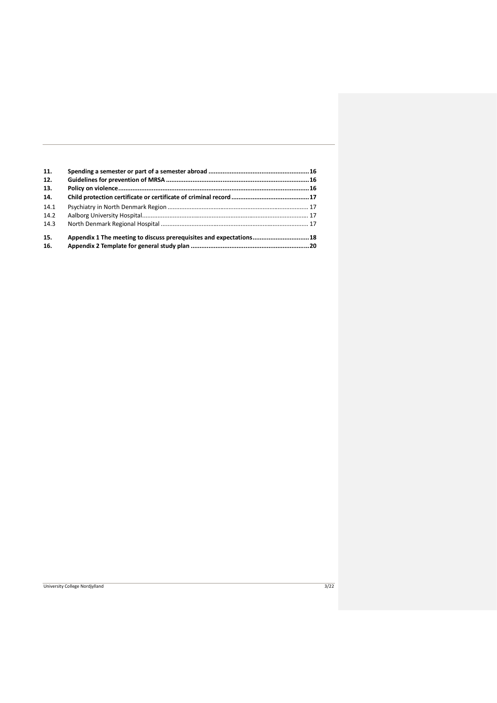| 11.<br>12.<br>13. |                                                                    |  |
|-------------------|--------------------------------------------------------------------|--|
| 14.               |                                                                    |  |
| 14.1              |                                                                    |  |
| 14.2              |                                                                    |  |
| 14.3              |                                                                    |  |
| 15.               | Appendix 1 The meeting to discuss prerequisites and expectations18 |  |
| 16.               |                                                                    |  |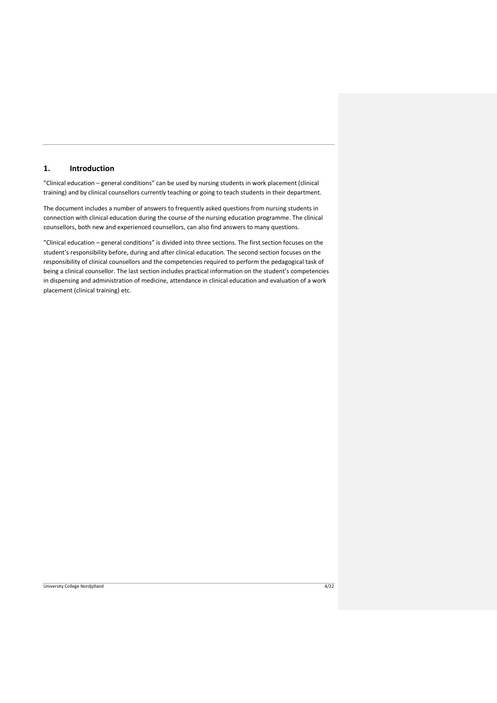## <span id="page-3-0"></span>**1. Introduction**

"Clinical education – general conditions" can be used by nursing students in work placement (clinical training) and by clinical counsellors currently teaching or going to teach students in their department.

The document includes a number of answers to frequently asked questions from nursing students in connection with clinical education during the course of the nursing education programme. The clinical counsellors, both new and experienced counsellors, can also find answers to many questions.

"Clinical education – general conditions" is divided into three sections. The first section focuses on the student's responsibility before, during and after clinical education. The second section focuses on the responsibility of clinical counsellors and the competencies required to perform the pedagogical task of being a clinical counsellor. The last section includes practical information on the student's competencies in dispensing and administration of medicine, attendance in clinical education and evaluation of a work placement (clinical training) etc.

#### University College Nordjylland 4/22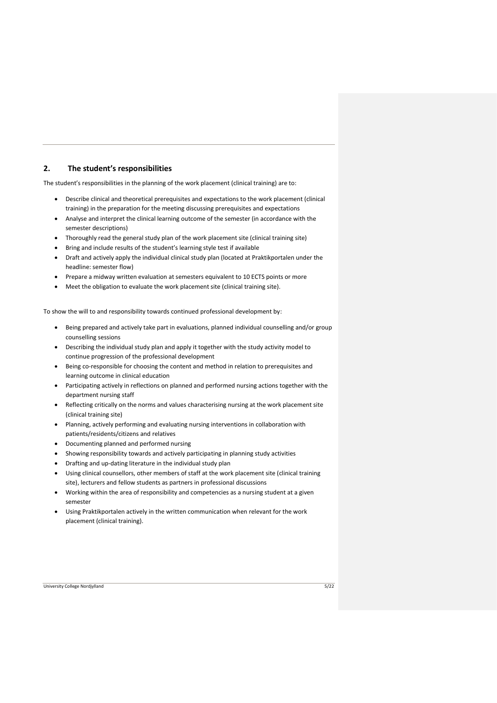## <span id="page-4-0"></span>**2. The student's responsibilities**

The student's responsibilities in the planning of the work placement (clinical training) are to:

- Describe clinical and theoretical prerequisites and expectations to the work placement (clinical training) in the preparation for the meeting discussing prerequisites and expectations
- Analyse and interpret the clinical learning outcome of the semester (in accordance with the semester descriptions)
- Thoroughly read the general study plan of the work placement site (clinical training site)
- Bring and include results of the student's learning style test if available
- Draft and actively apply the individual clinical study plan (located at Praktikportalen under the headline: semester flow)
- Prepare a midway written evaluation at semesters equivalent to 10 ECTS points or more
- Meet the obligation to evaluate the work placement site (clinical training site).

To show the will to and responsibility towards continued professional development by:

- Being prepared and actively take part in evaluations, planned individual counselling and/or group counselling sessions
- Describing the individual study plan and apply it together with the study activity model to continue progression of the professional development
- Being co-responsible for choosing the content and method in relation to prerequisites and learning outcome in clinical education
- Participating actively in reflections on planned and performed nursing actions together with the department nursing staff
- Reflecting critically on the norms and values characterising nursing at the work placement site (clinical training site)
- Planning, actively performing and evaluating nursing interventions in collaboration with patients/residents/citizens and relatives
- Documenting planned and performed nursing
- Showing responsibility towards and actively participating in planning study activities
- Drafting and up-dating literature in the individual study plan
- Using clinical counsellors, other members of staff at the work placement site (clinical training site), lecturers and fellow students as partners in professional discussions
- Working within the area of responsibility and competencies as a nursing student at a given semester
- Using Praktikportalen actively in the written communication when relevant for the work placement (clinical training).

#### University College Nordjylland 5/22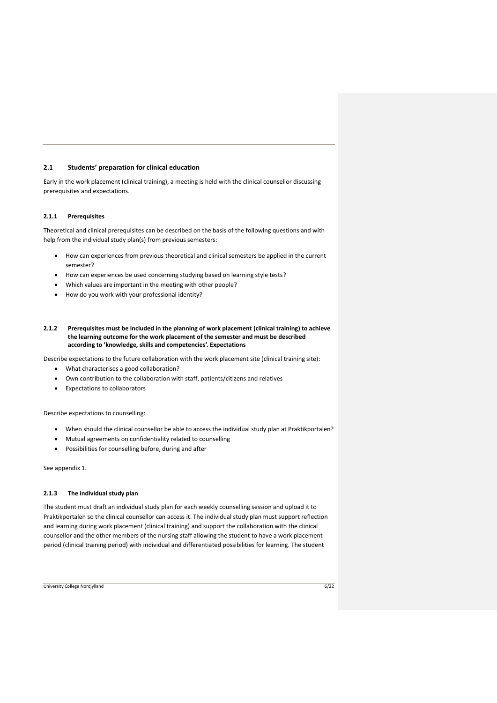#### <span id="page-5-0"></span>**2.1 Students' preparation for clinical education**

Early in the work placement (clinical training), a meeting is held with the clinical counsellor discussing prerequisites and expectations.

#### <span id="page-5-1"></span>**2.1.1 Prerequisites**

Theoretical and clinical prerequisites can be described on the basis of the following questions and with help from the individual study plan(s) from previous semesters:

- How can experiences from previous theoretical and clinical semesters be applied in the current semester?
- How can experiences be used concerning studying based on learning style tests?
- Which values are important in the meeting with other people?
- How do you work with your professional identity?
- <span id="page-5-2"></span>**2.1.2 Prerequisites must be included in the planning of work placement (clinical training) to achieve the learning outcome for the work placement of the semester and must be described according to 'knowledge, skills and competencies'. Expectations**

Describe expectations to the future collaboration with the work placement site (clinical training site):

- What characterises a good collaboration?
- Own contribution to the collaboration with staff, patients/citizens and relatives
- Expectations to collaborators

Describe expectations to counselling:

- When should the clinical counsellor be able to access the individual study plan at Praktikportalen?
- Mutual agreements on confidentiality related to counselling
- Possibilities for counselling before, during and after

See appendix 1.

#### <span id="page-5-3"></span>**2.1.3 The individual study plan**

The student must draft an individual study plan for each weekly counselling session and upload it to Praktikportalen so the clinical counsellor can access it. The individual study plan must support reflection and learning during work placement (clinical training) and support the collaboration with the clinical counsellor and the other members of the nursing staff allowing the student to have a work placement period (clinical training period) with individual and differentiated possibilities for learning. The student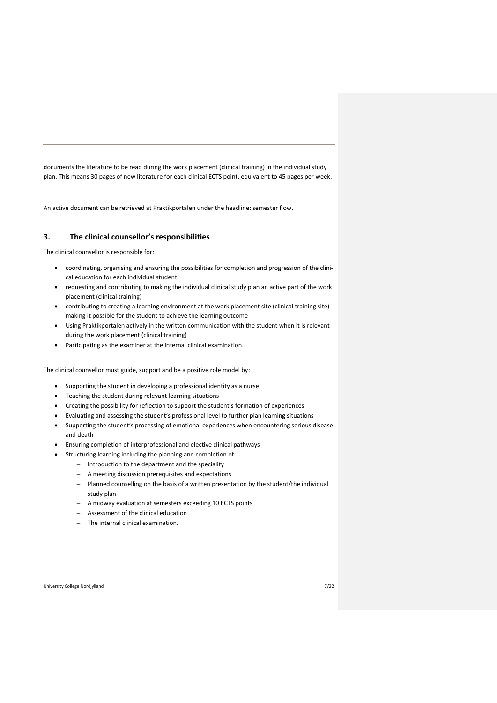documents the literature to be read during the work placement (clinical training) in the individual study plan. This means 30 pages of new literature for each clinical ECTS point, equivalent to 45 pages per week.

An active document can be retrieved at Praktikportalen under the headline: semester flow.

## <span id="page-6-0"></span>**3. The clinical counsellor's responsibilities**

The clinical counsellor is responsible for:

- coordinating, organising and ensuring the possibilities for completion and progression of the clinical education for each individual student
- requesting and contributing to making the individual clinical study plan an active part of the work placement (clinical training)
- contributing to creating a learning environment at the work placement site (clinical training site) making it possible for the student to achieve the learning outcome
- Using Praktikportalen actively in the written communication with the student when it is relevant during the work placement (clinical training)
- Participating as the examiner at the internal clinical examination.

The clinical counsellor must guide, support and be a positive role model by:

- Supporting the student in developing a professional identity as a nurse
- Teaching the student during relevant learning situations
- Creating the possibility for reflection to support the student's formation of experiences
- Evaluating and assessing the student's professional level to further plan learning situations
- Supporting the student's processing of emotional experiences when encountering serious disease and death
- Ensuring completion of interprofessional and elective clinical pathways
	- Structuring learning including the planning and completion of:
		- − Introduction to the department and the speciality
		- − A meeting discussion prerequisites and expectations
		- − Planned counselling on the basis of a written presentation by the student/the individual study plan
		- − A midway evaluation at semesters exceeding 10 ECTS points
		- − Assessment of the clinical education
		- The internal clinical examination.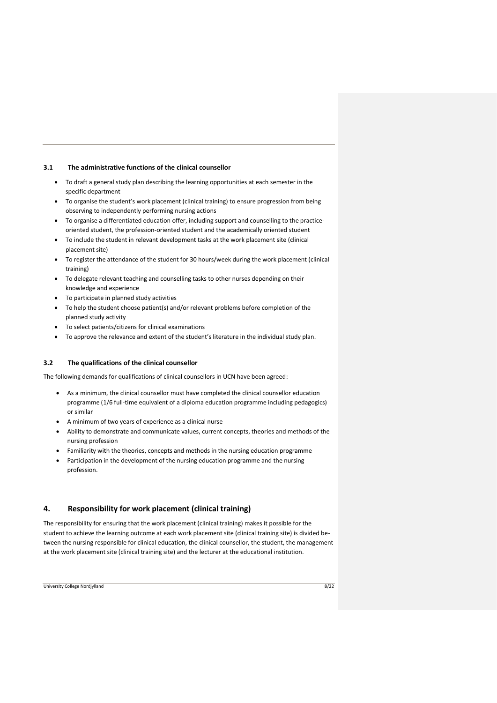#### <span id="page-7-0"></span>**3.1 The administrative functions of the clinical counsellor**

- To draft a general study plan describing the learning opportunities at each semester in the specific department
- To organise the student's work placement (clinical training) to ensure progression from being observing to independently performing nursing actions
- To organise a differentiated education offer, including support and counselling to the practiceoriented student, the profession-oriented student and the academically oriented student
- To include the student in relevant development tasks at the work placement site (clinical placement site)
- To register the attendance of the student for 30 hours/week during the work placement (clinical training)
- To delegate relevant teaching and counselling tasks to other nurses depending on their knowledge and experience
- To participate in planned study activities
- To help the student choose patient(s) and/or relevant problems before completion of the planned study activity
- To select patients/citizens for clinical examinations
- To approve the relevance and extent of the student's literature in the individual study plan.

#### <span id="page-7-1"></span>**3.2 The qualifications of the clinical counsellor**

The following demands for qualifications of clinical counsellors in UCN have been agreed:

- As a minimum, the clinical counsellor must have completed the clinical counsellor education programme (1/6 full-time equivalent of a diploma education programme including pedagogics) or similar
- A minimum of two years of experience as a clinical nurse
- Ability to demonstrate and communicate values, current concepts, theories and methods of the nursing profession
- Familiarity with the theories, concepts and methods in the nursing education programme
- Participation in the development of the nursing education programme and the nursing profession.

## <span id="page-7-2"></span>**4. Responsibility for work placement (clinical training)**

The responsibility for ensuring that the work placement (clinical training) makes it possible for the student to achieve the learning outcome at each work placement site (clinical training site) is divided between the nursing responsible for clinical education, the clinical counsellor, the student, the management at the work placement site (clinical training site) and the lecturer at the educational institution.

University College Nordjylland 8/22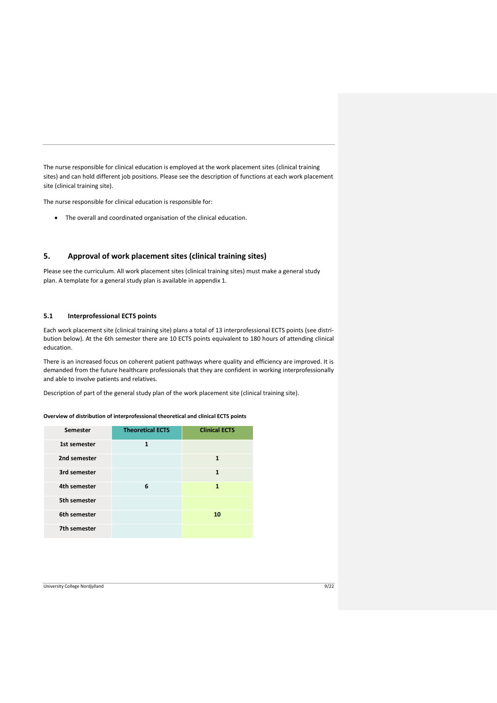The nurse responsible for clinical education is employed at the work placement sites (clinical training sites) and can hold different job positions. Please see the description of functions at each work placement site (clinical training site).

The nurse responsible for clinical education is responsible for:

• The overall and coordinated organisation of the clinical education.

## <span id="page-8-0"></span>**5. Approval of work placement sites (clinical training sites)**

Please see the curriculum. All work placement sites (clinical training sites) must make a general study plan. A template for a general study plan is available in appendix 1.

## <span id="page-8-1"></span>**5.1 Interprofessional ECTS points**

Each work placement site (clinical training site) plans a total of 13 interprofessional ECTS points (see distribution below). At the 6th semester there are 10 ECTS points equivalent to 180 hours of attending clinical education.

There is an increased focus on coherent patient pathways where quality and efficiency are improved. It is demanded from the future healthcare professionals that they are confident in working interprofessionally and able to involve patients and relatives.

Description of part of the general study plan of the work placement site (clinical training site).

<span id="page-8-2"></span>**Overview of distribution of interprofessional theoretical and clinical ECTS points** 

| Semester     | <b>Theoretical ECTS</b> | <b>Clinical ECTS</b> |  |
|--------------|-------------------------|----------------------|--|
| 1st semester | 1                       |                      |  |
| 2nd semester |                         | 1                    |  |
| 3rd semester |                         | 1                    |  |
| 4th semester | 6                       | 1                    |  |
| 5th semester |                         |                      |  |
| 6th semester |                         | 10                   |  |
| 7th semester |                         |                      |  |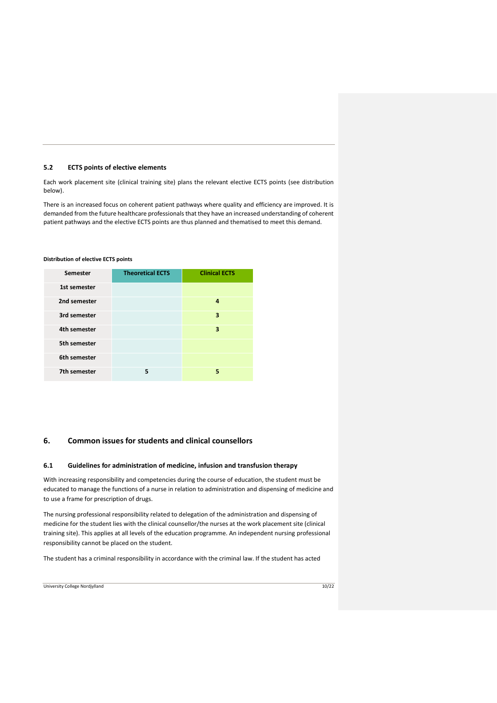## <span id="page-9-0"></span>**5.2 ECTS points of elective elements**

Each work placement site (clinical training site) plans the relevant elective ECTS points (see distribution below).

There is an increased focus on coherent patient pathways where quality and efficiency are improved. It is demanded from the future healthcare professionals that they have an increased understanding of coherent patient pathways and the elective ECTS points are thus planned and thematised to meet this demand.

#### <span id="page-9-1"></span>**Distribution of elective ECTS points**

| Semester     | <b>Theoretical ECTS</b> | <b>Clinical ECTS</b> |  |
|--------------|-------------------------|----------------------|--|
| 1st semester |                         |                      |  |
| 2nd semester |                         | 4                    |  |
| 3rd semester |                         | 3                    |  |
| 4th semester |                         | 3                    |  |
| 5th semester |                         |                      |  |
| 6th semester |                         |                      |  |
| 7th semester | 5                       | 5                    |  |

#### <span id="page-9-2"></span>**6. Common issues for students and clinical counsellors**

### <span id="page-9-3"></span>**6.1 Guidelines for administration of medicine, infusion and transfusion therapy**

With increasing responsibility and competencies during the course of education, the student must be educated to manage the functions of a nurse in relation to administration and dispensing of medicine and to use a frame for prescription of drugs.

The nursing professional responsibility related to delegation of the administration and dispensing of medicine for the student lies with the clinical counsellor/the nurses at the work placement site (clinical training site). This applies at all levels of the education programme. An independent nursing professional responsibility cannot be placed on the student.

The student has a criminal responsibility in accordance with the criminal law. If the student has acted

University College Nordjylland 10/22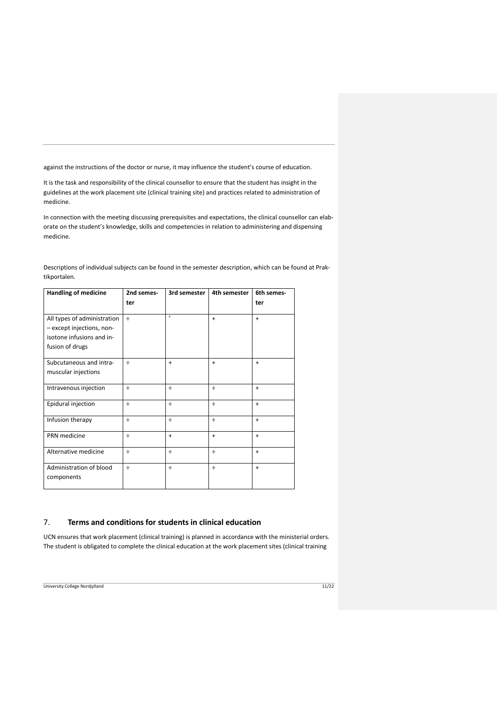against the instructions of the doctor or nurse, it may influence the student's course of education.

It is the task and responsibility of the clinical counsellor to ensure that the student has insight in the guidelines at the work placement site (clinical training site) and practices related to administration of medicine.

In connection with the meeting discussing prerequisites and expectations, the clinical counsellor can elaborate on the student's knowledge, skills and competencies in relation to administering and dispensing medicine.

| <b>Handling of medicine</b>                                                                              | 2nd semes- | 3rd semester | 4th semester | 6th semes- |
|----------------------------------------------------------------------------------------------------------|------------|--------------|--------------|------------|
|                                                                                                          | ter        |              |              | ter        |
| All types of administration<br>- except injections, non-<br>isotone infusions and in-<br>fusion of drugs | $\div$     | $\ddot{}$    | $\ddot{}$    | $\ddot{}$  |
| Subcutaneous and intra-<br>muscular injections                                                           | $\div$     | $\ddot{}$    | $\ddot{}$    | $\ddot{}$  |
| Intravenous injection                                                                                    | ÷          | ÷            | ÷            | $+$        |
| Epidural injection                                                                                       | $\div$     | $\div$       | ÷            | $+$        |
| Infusion therapy                                                                                         | $\div$     | $\div$       | ÷            | $\ddot{}$  |
| PRN medicine                                                                                             | $\div$     | $\ddot{}$    | $\ddot{}$    | $\ddot{}$  |
| Alternative medicine                                                                                     | $\div$     | ÷            | ÷            | $\ddot{}$  |
| Administration of blood<br>components                                                                    | ÷          | ÷            | ÷            | $\ddot{}$  |

Descriptions of individual subjects can be found in the semester description, which can be found at Praktikportalen.

## <span id="page-10-0"></span>7. **Terms and conditions for students in clinical education**

UCN ensures that work placement (clinical training) is planned in accordance with the ministerial orders. The student is obligated to complete the clinical education at the work placement sites (clinical training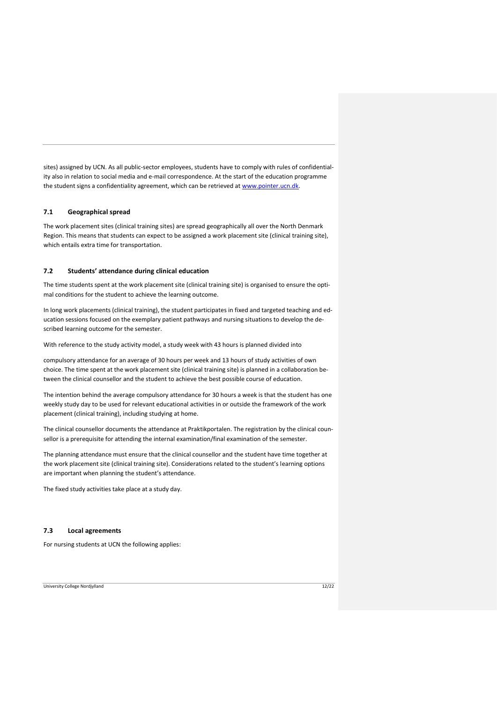sites) assigned by UCN. As all public-sector employees, students have to comply with rules of confidentiality also in relation to social media and e-mail correspondence. At the start of the education programme the student signs a confidentiality agreement, which can be retrieved a[t www.pointer.ucn.dk.](http://www.pointer.ucn.dk/)

#### <span id="page-11-0"></span>**7.1 Geographical spread**

The work placement sites (clinical training sites) are spread geographically all over the North Denmark Region. This means that students can expect to be assigned a work placement site (clinical training site), which entails extra time for transportation.

#### <span id="page-11-1"></span>**7.2 Students' attendance during clinical education**

The time students spent at the work placement site (clinical training site) is organised to ensure the optimal conditions for the student to achieve the learning outcome.

In long work placements (clinical training), the student participates in fixed and targeted teaching and education sessions focused on the exemplary patient pathways and nursing situations to develop the described learning outcome for the semester.

With reference to the study activity model, a study week with 43 hours is planned divided into

compulsory attendance for an average of 30 hours per week and 13 hours of study activities of own choice. The time spent at the work placement site (clinical training site) is planned in a collaboration between the clinical counsellor and the student to achieve the best possible course of education.

The intention behind the average compulsory attendance for 30 hours a week is that the student has one weekly study day to be used for relevant educational activities in or outside the framework of the work placement (clinical training), including studying at home.

The clinical counsellor documents the attendance at Praktikportalen. The registration by the clinical counsellor is a prerequisite for attending the internal examination/final examination of the semester.

The planning attendance must ensure that the clinical counsellor and the student have time together at the work placement site (clinical training site). Considerations related to the student's learning options are important when planning the student's attendance.

The fixed study activities take place at a study day.

## <span id="page-11-2"></span>**7.3 Local agreements**

For nursing students at UCN the following applies:

#### University College Nordjylland 12/22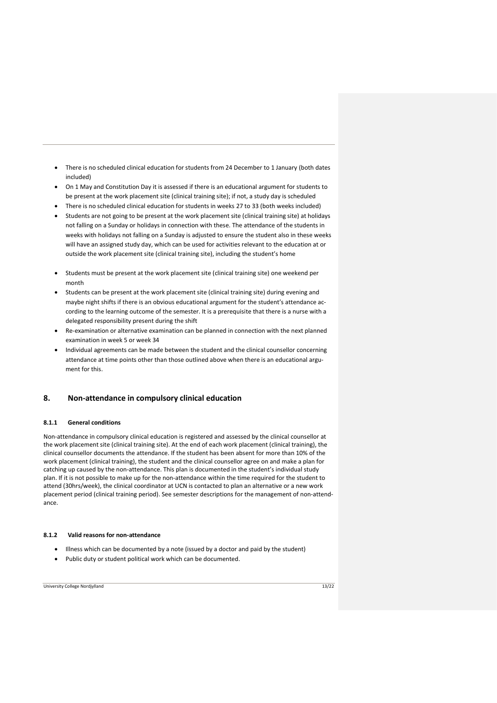- There is no scheduled clinical education for students from 24 December to 1 January (both dates included)
- On 1 May and Constitution Day it is assessed if there is an educational argument for students to be present at the work placement site (clinical training site); if not, a study day is scheduled
- There is no scheduled clinical education for students in weeks 27 to 33 (both weeks included)
- Students are not going to be present at the work placement site (clinical training site) at holidays not falling on a Sunday or holidays in connection with these. The attendance of the students in weeks with holidays not falling on a Sunday is adjusted to ensure the student also in these weeks will have an assigned study day, which can be used for activities relevant to the education at or outside the work placement site (clinical training site), including the student's home
- Students must be present at the work placement site (clinical training site) one weekend per month
- Students can be present at the work placement site (clinical training site) during evening and maybe night shifts if there is an obvious educational argument for the student's attendance according to the learning outcome of the semester. It is a prerequisite that there is a nurse with a delegated responsibility present during the shift
- Re-examination or alternative examination can be planned in connection with the next planned examination in week 5 or week 34
- Individual agreements can be made between the student and the clinical counsellor concerning attendance at time points other than those outlined above when there is an educational argument for this.

## <span id="page-12-0"></span>**8. Non-attendance in compulsory clinical education**

#### <span id="page-12-1"></span>**8.1.1 General conditions**

Non-attendance in compulsory clinical education is registered and assessed by the clinical counsellor at the work placement site (clinical training site). At the end of each work placement (clinical training), the clinical counsellor documents the attendance. If the student has been absent for more than 10% of the work placement (clinical training), the student and the clinical counsellor agree on and make a plan for catching up caused by the non-attendance. This plan is documented in the student's individual study plan. If it is not possible to make up for the non-attendance within the time required for the student to attend (30hrs/week), the clinical coordinator at UCN is contacted to plan an alternative or a new work placement period (clinical training period). See semester descriptions for the management of non-attendance.

## <span id="page-12-2"></span>**8.1.2 Valid reasons for non-attendance**

- Illness which can be documented by a note (issued by a doctor and paid by the student)
- Public duty or student political work which can be documented.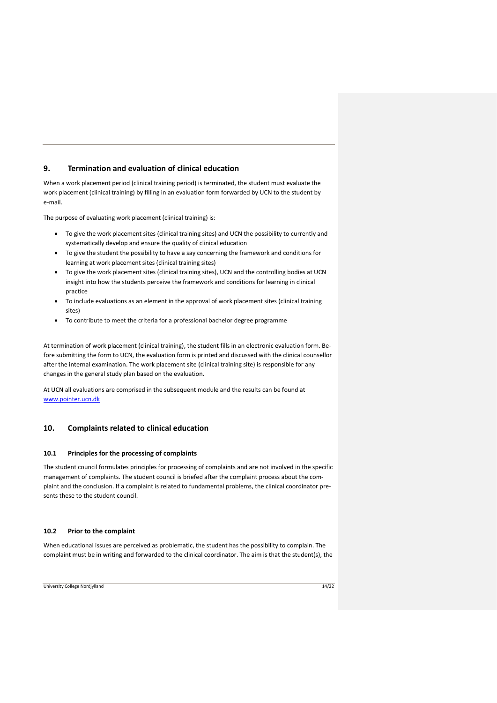## <span id="page-13-0"></span>**9. Termination and evaluation of clinical education**

When a work placement period (clinical training period) is terminated, the student must evaluate the work placement (clinical training) by filling in an evaluation form forwarded by UCN to the student by e-mail.

The purpose of evaluating work placement (clinical training) is:

- To give the work placement sites (clinical training sites) and UCN the possibility to currently and systematically develop and ensure the quality of clinical education
- To give the student the possibility to have a say concerning the framework and conditions for learning at work placement sites (clinical training sites)
- To give the work placement sites (clinical training sites), UCN and the controlling bodies at UCN insight into how the students perceive the framework and conditions for learning in clinical practice
- To include evaluations as an element in the approval of work placement sites (clinical training sites)
- To contribute to meet the criteria for a professional bachelor degree programme

At termination of work placement (clinical training), the student fills in an electronic evaluation form. Before submitting the form to UCN, the evaluation form is printed and discussed with the clinical counsellor after the internal examination. The work placement site (clinical training site) is responsible for any changes in the general study plan based on the evaluation.

At UCN all evaluations are comprised in the subsequent module and the results can be found at [www.pointer.ucn.dk](http://www.pointer.ucn.dk/) 

## <span id="page-13-1"></span>**10. Complaints related to clinical education**

#### <span id="page-13-2"></span>**10.1 Principles for the processing of complaints**

The student council formulates principles for processing of complaints and are not involved in the specific management of complaints. The student council is briefed after the complaint process about the complaint and the conclusion. If a complaint is related to fundamental problems, the clinical coordinator presents these to the student council.

#### <span id="page-13-3"></span>**10.2 Prior to the complaint**

When educational issues are perceived as problematic, the student has the possibility to complain. The complaint must be in writing and forwarded to the clinical coordinator. The aim is that the student(s), the

University College Nordjylland 14/22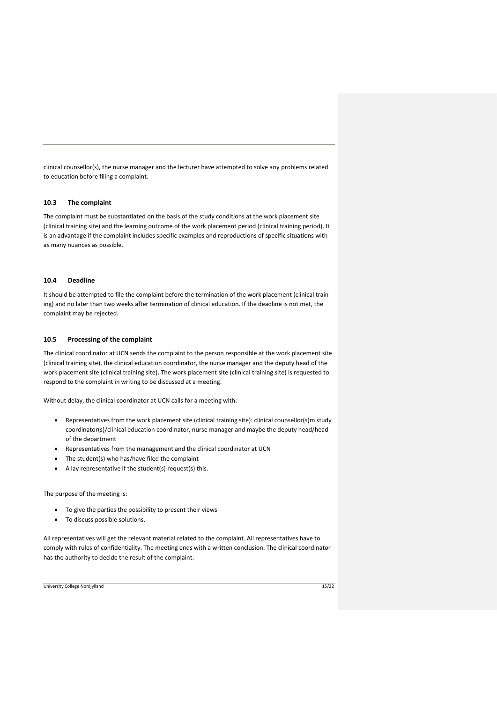clinical counsellor(s), the nurse manager and the lecturer have attempted to solve any problems related to education before filing a complaint.

## <span id="page-14-0"></span>**10.3 The complaint**

The complaint must be substantiated on the basis of the study conditions at the work placement site (clinical training site) and the learning outcome of the work placement period (clinical training period). It is an advantage if the complaint includes specific examples and reproductions of specific situations with as many nuances as possible.

#### <span id="page-14-1"></span>**10.4 Deadline**

It should be attempted to file the complaint before the termination of the work placement (clinical training) and no later than two weeks after termination of clinical education. If the deadline is not met, the complaint may be rejected.

#### <span id="page-14-2"></span>**10.5 Processing of the complaint**

The clinical coordinator at UCN sends the complaint to the person responsible at the work placement site (clinical training site), the clinical education coordinator, the nurse manager and the deputy head of the work placement site (clinical training site). The work placement site (clinical training site) is requested to respond to the complaint in writing to be discussed at a meeting.

Without delay, the clinical coordinator at UCN calls for a meeting with:

- Representatives from the work placement site (clinical training site): clinical counsellor(s)m study coordinator(s)/clinical education coordinator, nurse manager and maybe the deputy head/head of the department
- Representatives from the management and the clinical coordinator at UCN
- The student(s) who has/have filed the complaint
- A lay representative if the student(s) request(s) this.

The purpose of the meeting is:

- To give the parties the possibility to present their views
- To discuss possible solutions.

All representatives will get the relevant material related to the complaint. All representatives have to comply with rules of confidentiality. The meeting ends with a written conclusion. The clinical coordinator has the authority to decide the result of the complaint.

University College Nordjylland 15/22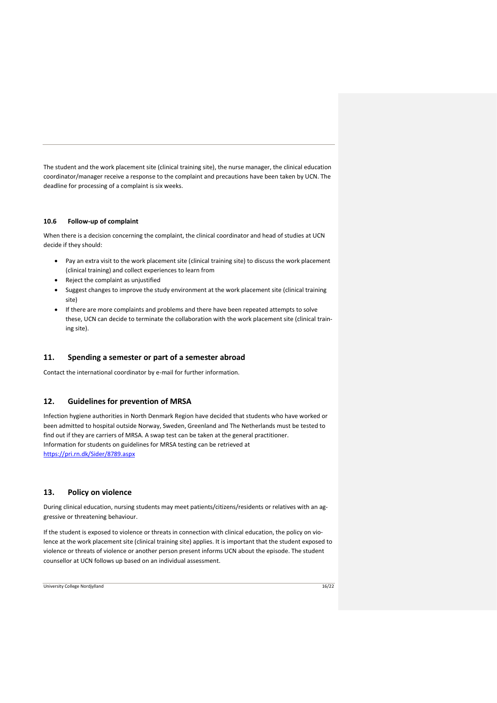The student and the work placement site (clinical training site), the nurse manager, the clinical education coordinator/manager receive a response to the complaint and precautions have been taken by UCN. The deadline for processing of a complaint is six weeks.

#### <span id="page-15-0"></span>**10.6 Follow-up of complaint**

When there is a decision concerning the complaint, the clinical coordinator and head of studies at UCN decide if they should:

- Pay an extra visit to the work placement site (clinical training site) to discuss the work placement (clinical training) and collect experiences to learn from
- Reject the complaint as unjustified
- Suggest changes to improve the study environment at the work placement site (clinical training site)
- If there are more complaints and problems and there have been repeated attempts to solve these, UCN can decide to terminate the collaboration with the work placement site (clinical training site).

#### <span id="page-15-1"></span>**11. Spending a semester or part of a semester abroad**

Contact the international coordinator by e-mail for further information.

## <span id="page-15-2"></span>**12. Guidelines for prevention of MRSA**

Infection hygiene authorities in North Denmark Region have decided that students who have worked or been admitted to hospital outside Norway, Sweden, Greenland and The Netherlands must be tested to find out if they are carriers of MRSA. A swap test can be taken at the general practitioner. Information for students on guidelines for MRSA testing can be retrieved at <https://pri.rn.dk/Sider/8789.aspx>

## <span id="page-15-3"></span>**13. Policy on violence**

During clinical education, nursing students may meet patients/citizens/residents or relatives with an aggressive or threatening behaviour.

If the student is exposed to violence or threats in connection with clinical education, the policy on violence at the work placement site (clinical training site) applies. It is important that the student exposed to violence or threats of violence or another person present informs UCN about the episode. The student counsellor at UCN follows up based on an individual assessment.

University College Nordjylland 16/22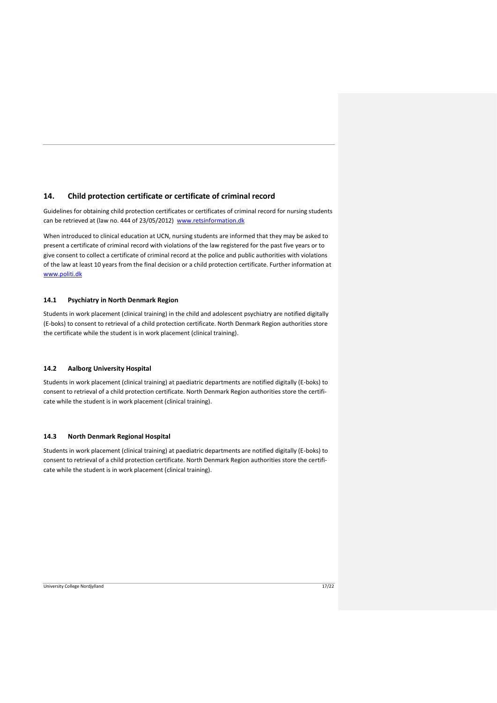## <span id="page-16-0"></span>**14. Child protection certificate or certificate of criminal record**

Guidelines for obtaining child protection certificates or certificates of criminal record for nursing students can be retrieved at (law no. 444 of 23/05/2012) [www.retsinformation.dk](http://www.retsinformation.dk/)

When introduced to clinical education at UCN, nursing students are informed that they may be asked to present a certificate of criminal record with violations of the law registered for the past five years or to give consent to collect a certificate of criminal record at the police and public authorities with violations of the law at least 10 years from the final decision or a child protection certificate. Further information at [www.politi.dk](http://www.politi.dk/)

#### <span id="page-16-1"></span>**14.1 Psychiatry in North Denmark Region**

Students in work placement (clinical training) in the child and adolescent psychiatry are notified digitally (E-boks) to consent to retrieval of a child protection certificate. North Denmark Region authorities store the certificate while the student is in work placement (clinical training).

#### <span id="page-16-2"></span>**14.2 Aalborg University Hospital**

Students in work placement (clinical training) at paediatric departments are notified digitally (E-boks) to consent to retrieval of a child protection certificate. North Denmark Region authorities store the certificate while the student is in work placement (clinical training).

## <span id="page-16-3"></span>**14.3 North Denmark Regional Hospital**

Students in work placement (clinical training) at paediatric departments are notified digitally (E-boks) to consent to retrieval of a child protection certificate. North Denmark Region authorities store the certificate while the student is in work placement (clinical training).

University College Nordjylland 17/22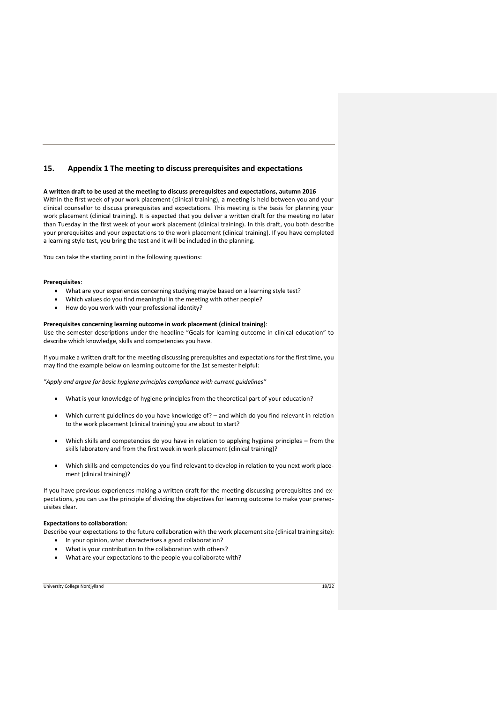## <span id="page-17-0"></span>**15. Appendix 1 The meeting to discuss prerequisites and expectations**

#### **A written draft to be used at the meeting to discuss prerequisites and expectations, autumn 2016**

Within the first week of your work placement (clinical training), a meeting is held between you and your clinical counsellor to discuss prerequisites and expectations. This meeting is the basis for planning your work placement (clinical training). It is expected that you deliver a written draft for the meeting no later than Tuesday in the first week of your work placement (clinical training). In this draft, you both describe your prerequisites and your expectations to the work placement (clinical training). If you have completed a learning style test, you bring the test and it will be included in the planning.

You can take the starting point in the following questions:

#### **Prerequisites**:

- What are your experiences concerning studying maybe based on a learning style test?
- Which values do you find meaningful in the meeting with other people?
- How do you work with your professional identity?

#### **Prerequisites concerning learning outcome in work placement (clinical training)**:

Use the semester descriptions under the headline "Goals for learning outcome in clinical education" to describe which knowledge, skills and competencies you have.

If you make a written draft for the meeting discussing prerequisites and expectations for the first time, you may find the example below on learning outcome for the 1st semester helpful:

*"Apply and argue for basic hygiene principles compliance with current guidelines"* 

- What is your knowledge of hygiene principles from the theoretical part of your education?
- Which current guidelines do you have knowledge of? and which do you find relevant in relation to the work placement (clinical training) you are about to start?
- Which skills and competencies do you have in relation to applying hygiene principles from the skills laboratory and from the first week in work placement (clinical training)?
- Which skills and competencies do you find relevant to develop in relation to you next work placement (clinical training)?

If you have previous experiences making a written draft for the meeting discussing prerequisites and expectations, you can use the principle of dividing the objectives for learning outcome to make your prerequisites clear.

#### **Expectations to collaboration**:

Describe your expectations to the future collaboration with the work placement site (clinical training site):

- In your opinion, what characterises a good collaboration?
- What is your contribution to the collaboration with others?
- What are your expectations to the people you collaborate with?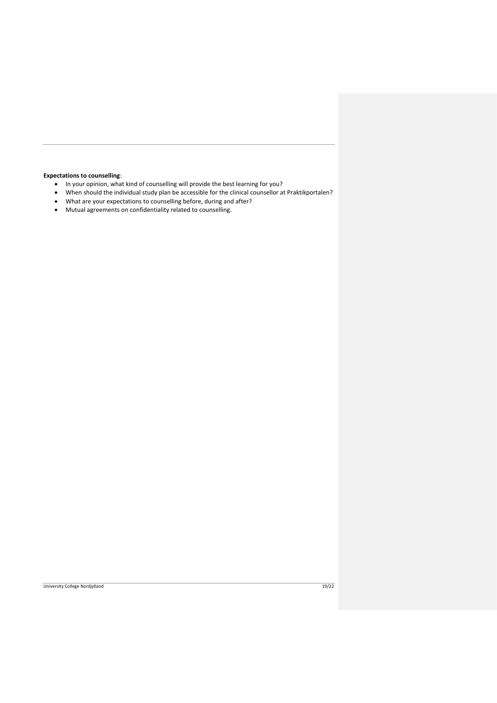## **Expectations to counselling**:

- In your opinion, what kind of counselling will provide the best learning for you?<br>• When should the individual study plan be accessible for the clinical counsellor a
- When should the individual study plan be accessible for the clinical counsellor at Praktikportalen?
- What are your expectations to counselling before, during and after?
- Mutual agreements on confidentiality related to counselling.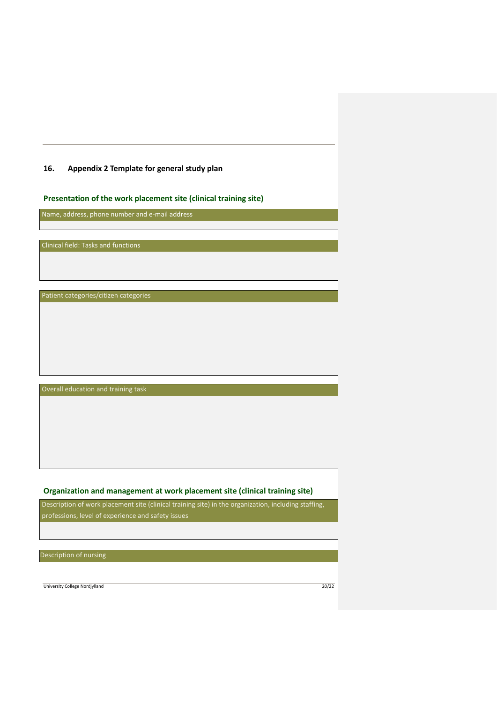## <span id="page-19-0"></span>**16. Appendix 2 Template for general study plan**

# **Presentation of the work placement site (clinical training site)**

Name, address, phone number and e-mail address

Clinical field: Tasks and functions

Patient categories/citizen categories

Overall education and training task

# **Organization and management at work placement site (clinical training site)**

Description of work placement site (clinical training site) in the organization, including staffing, professions, level of experience and safety issues

Description of nursing

University College Nordjylland 20/22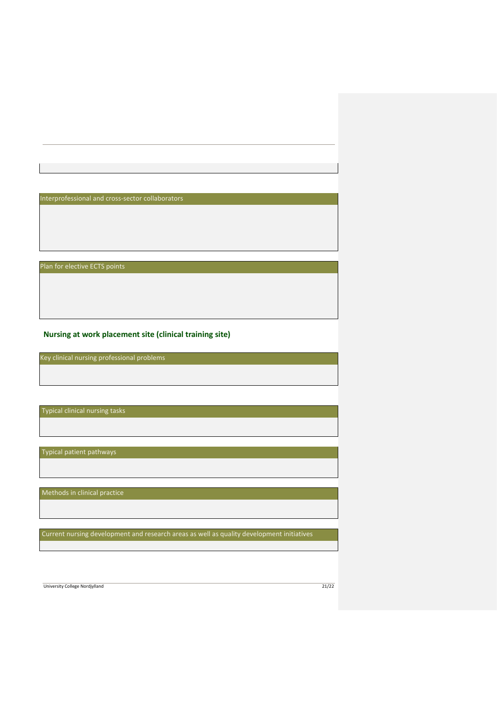Interprofessional and cross-sector collaborators

Plan for elective ECTS points

**Nursing at work placement site (clinical training site)**

Key clinical nursing professional problems

Typical clinical nursing tasks

Typical patient pathways

Methods in clinical practice

Current nursing development and research areas as well as quality development initiatives

University College Nordjylland 21/22